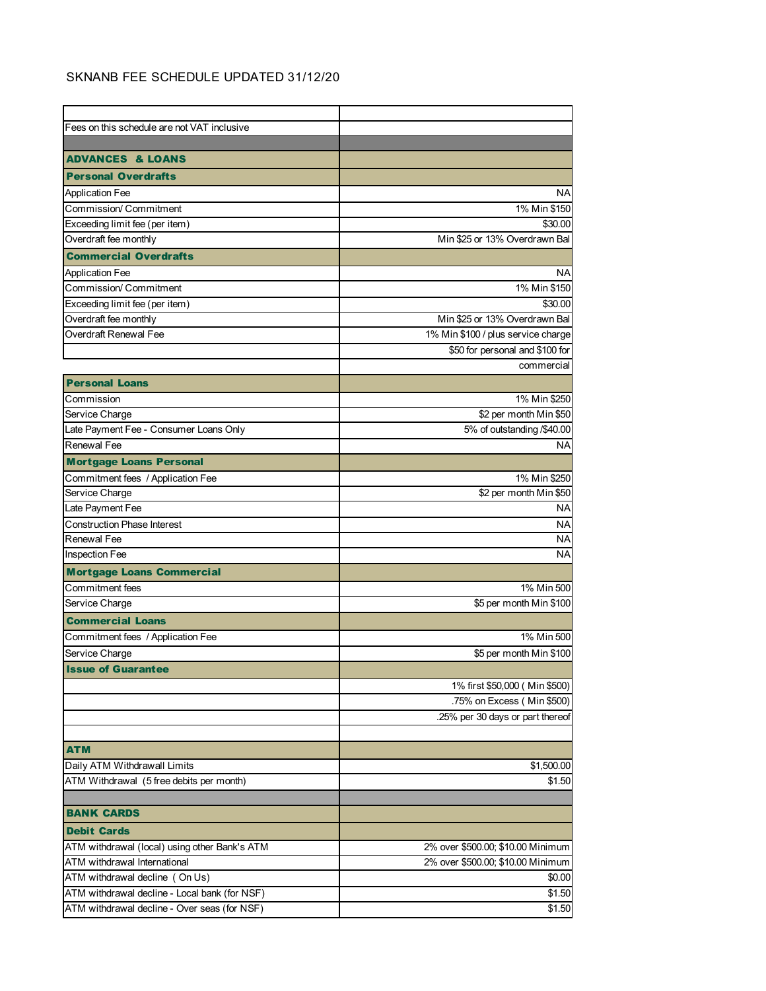## SKNANB FEE SCHEDULE UPDATED 31/12/20

| Fees on this schedule are not VAT inclusive   |                                    |
|-----------------------------------------------|------------------------------------|
|                                               |                                    |
| <b>ADVANCES &amp; LOANS</b>                   |                                    |
| <b>Personal Overdrafts</b>                    |                                    |
| Application Fee                               | ΝA                                 |
| Commission/ Commitment                        | 1% Min \$150                       |
| Exceeding limit fee (per item)                | \$30.00                            |
| Overdraft fee monthly                         | Min \$25 or 13% Overdrawn Bal      |
| <b>Commercial Overdrafts</b>                  |                                    |
| <b>Application Fee</b>                        | <b>NA</b>                          |
| Commission/ Commitment                        | 1% Min \$150                       |
| Exceeding limit fee (per item)                | \$30.00                            |
| Overdraft fee monthly                         | Min \$25 or 13% Overdrawn Bal      |
| Overdraft Renewal Fee                         | 1% Min \$100 / plus service charge |
|                                               | \$50 for personal and \$100 for    |
|                                               | commercial                         |
| <b>Personal Loans</b>                         |                                    |
| Commission                                    | 1% Min \$250                       |
| Service Charge                                | \$2 per month Min \$50             |
| Late Payment Fee - Consumer Loans Only        | 5% of outstanding /\$40.00         |
| Renewal Fee                                   | NA                                 |
| <b>Mortgage Loans Personal</b>                |                                    |
| Commitment fees / Application Fee             | 1% Min \$250                       |
| Service Charge                                | \$2 per month Min \$50             |
| Late Payment Fee                              | ΝA                                 |
| <b>Construction Phase Interest</b>            | <b>NA</b>                          |
| Renewal Fee                                   | ΝA                                 |
| Inspection Fee                                | <b>NA</b>                          |
| <b>Mortgage Loans Commercial</b>              |                                    |
| Commitment fees                               | 1% Min 500                         |
| Service Charge                                | \$5 per month Min \$100            |
| <b>Commercial Loans</b>                       |                                    |
| Commitment fees / Application Fee             | 1% Min 500                         |
| Service Charge                                | \$5 per month Min \$100            |
| <b>Issue of Guaranter</b>                     |                                    |
|                                               | 1% first \$50,000 (Min \$500)      |
|                                               | .75% on Excess (Min \$500)         |
|                                               | .25% per 30 days or part thereof   |
|                                               |                                    |
| <b>ATM</b>                                    |                                    |
| Daily ATM Withdrawall Limits                  | \$1,500.00                         |
| ATM Withdrawal (5 free debits per month)      | \$1.50                             |
|                                               |                                    |
| <b>BANK CARDS</b>                             |                                    |
| <b>Debit Cards</b>                            |                                    |
| ATM withdrawal (local) using other Bank's ATM | 2% over \$500.00; \$10.00 Minimum  |
| ATM withdrawal International                  | 2% over \$500.00; \$10.00 Minimum  |
| ATM withdrawal decline (On Us)                | \$0.00                             |
| ATM withdrawal decline - Local bank (for NSF) | \$1.50                             |
| ATM withdrawal decline - Over seas (for NSF)  | \$1.50                             |
|                                               |                                    |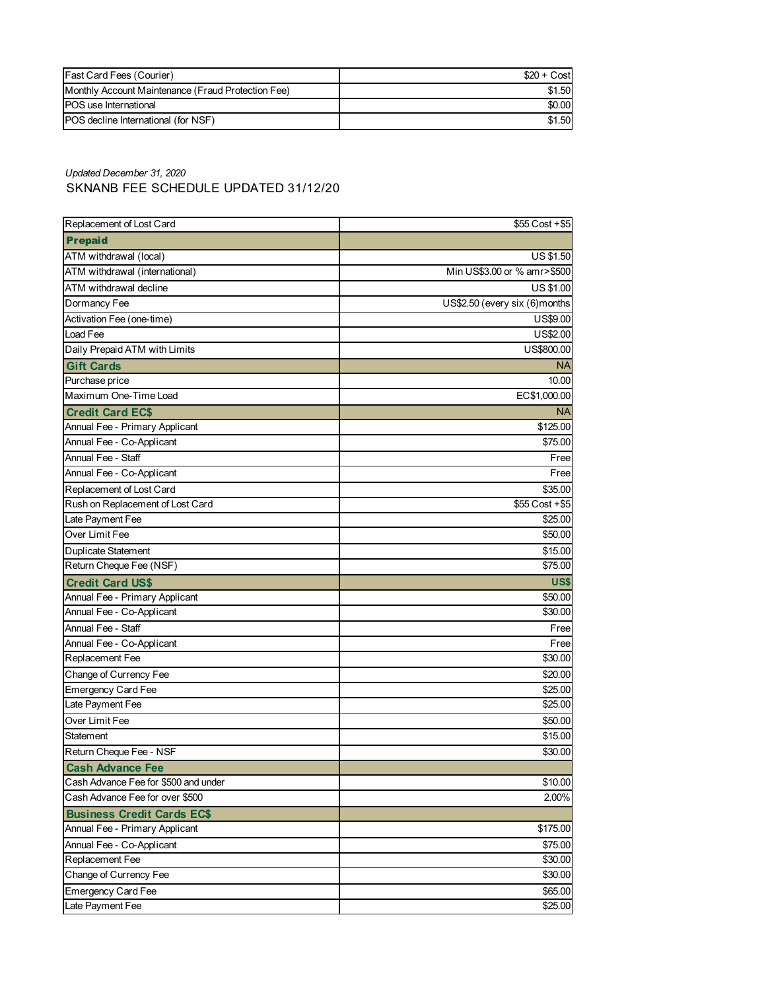| <b>Fast Card Fees (Courier)</b>                    | $$20 + Cost$ |
|----------------------------------------------------|--------------|
| Monthly Account Maintenance (Fraud Protection Fee) | \$1.50       |
| <b>POS</b> use International                       | \$0.00       |
| <b>IPOS</b> decline International (for NSF)        | \$1.50       |

*Updated December 31, 2020*

## SKNANB FEE SCHEDULE UPDATED 31/12/20

| Replacement of Lost Card             | \$55 Cost + \$5               |
|--------------------------------------|-------------------------------|
| <b>Prepaid</b>                       |                               |
| ATM withdrawal (local)               | US \$1.50                     |
| ATM withdrawal (international)       | Min US\$3.00 or % amr>\$500   |
| ATM withdrawal decline               | <b>US \$1.00</b>              |
| Dormancy Fee                         | US\$2.50 (every six (6)months |
| Activation Fee (one-time)            | US\$9.00                      |
| Load Fee                             | US\$2.00                      |
| Daily Prepaid ATM with Limits        | US\$800.00                    |
| <b>Gift Cards</b>                    | ΝA                            |
| Purchase price                       | 10.00                         |
| Maximum One-Time Load                | EC\$1,000.00                  |
| <b>Credit Card EC\$</b>              | <b>NA</b>                     |
| Annual Fee - Primary Applicant       | \$125.00                      |
| Annual Fee - Co-Applicant            | \$75.00                       |
| Annual Fee - Staff                   | Free                          |
| Annual Fee - Co-Applicant            | Free                          |
| Replacement of Lost Card             | \$35.00                       |
| Rush on Replacement of Lost Card     | $$55$ Cost +\$5               |
| Late Payment Fee                     | \$25.00                       |
| Over Limit Fee                       | \$50.00                       |
| <b>Duplicate Statement</b>           | \$15.00                       |
| Return Cheque Fee (NSF)              | \$75.00                       |
| <b>Credit Card US\$</b>              | US\$                          |
| Annual Fee - Primary Applicant       | \$50.00                       |
| Annual Fee - Co-Applicant            | \$30.00                       |
| Annual Fee - Staff                   | Free                          |
| Annual Fee - Co-Applicant            | Free                          |
| Replacement Fee                      | \$30.00                       |
| Change of Currency Fee               | \$20.00                       |
| <b>Emergency Card Fee</b>            | \$25.00                       |
| Late Payment Fee                     | \$25.00                       |
| Over Limit Fee                       | \$50.00                       |
| <b>Statement</b>                     | \$15.00                       |
| Return Cheque Fee - NSF              | \$30.00                       |
| <b>Cash Advance Fee</b>              |                               |
| Cash Advance Fee for \$500 and under | \$10.00                       |
| Cash Advance Fee for over \$500      | 2.00%                         |
| <b>Business Credit Cards EC\$</b>    |                               |
| Annual Fee - Primary Applicant       | \$175.00                      |
| Annual Fee - Co-Applicant            | \$75.00                       |
| Replacement Fee                      | \$30.00                       |
| Change of Currency Fee               | \$30.00                       |
| <b>Emergency Card Fee</b>            | \$65.00                       |
| Late Payment Fee                     | \$25.00                       |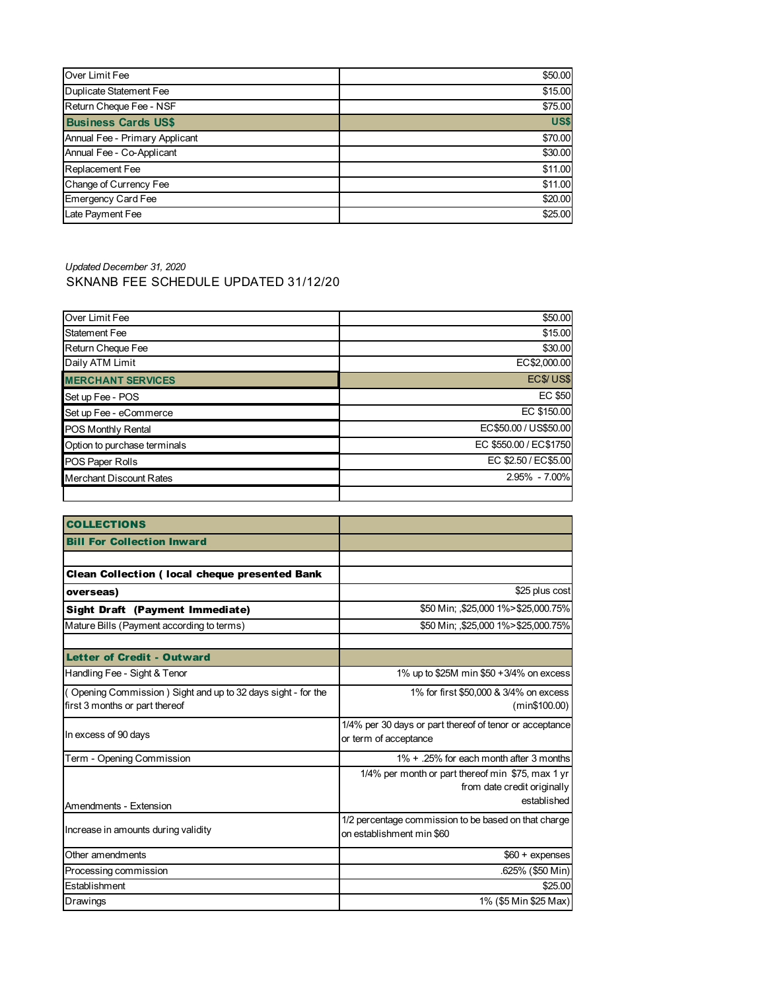| Over Limit Fee                 | \$50.00 |
|--------------------------------|---------|
| Duplicate Statement Fee        | \$15.00 |
| Return Cheque Fee - NSF        | \$75.00 |
| <b>Business Cards US\$</b>     | US\$    |
| Annual Fee - Primary Applicant | \$70.00 |
| Annual Fee - Co-Applicant      | \$30.00 |
| <b>Replacement Fee</b>         | \$11.00 |
| Change of Currency Fee         | \$11.00 |
| <b>Emergency Card Fee</b>      | \$20.00 |
| Late Payment Fee               | \$25.00 |

## *Updated December 31, 2020* SKNANB FEE SCHEDULE UPDATED 31/12/20

| Over Limit Fee               | \$50.00                |
|------------------------------|------------------------|
| <b>Statement Fee</b>         | \$15.00                |
| Return Cheque Fee            | \$30.00                |
| Daily ATM Limit              | EC\$2,000.00           |
| <b>MERCHANT SERVICES</b>     | <b>EC\$/US\$</b>       |
| Set up Fee - POS             | <b>EC \$50</b>         |
| Set up Fee - eCommerce       | EC \$150.00            |
| <b>POS Monthly Rental</b>    | EC\$50.00 / US\$50.00  |
| Option to purchase terminals | EC \$550.00 / EC\$1750 |
| POS Paper Rolls              | EC \$2.50 / EC\$5.00   |
| Merchant Discount Rates      | 2.95% - 7.00%          |
|                              |                        |

| <b>COLLECTIONS</b>                                           |                                                         |
|--------------------------------------------------------------|---------------------------------------------------------|
| <b>Bill For Collection Inward</b>                            |                                                         |
|                                                              |                                                         |
| <b>Clean Collection (local cheque presented Bank</b>         |                                                         |
| overseas)                                                    | \$25 plus cost                                          |
| Sight Draft (Payment Immediate)                              | \$50 Min; \$25,000 1% > \$25,000.75%                    |
| Mature Bills (Payment according to terms)                    | \$50 Min; \$25,000 1% > \$25,000.75%                    |
|                                                              |                                                         |
| <b>Letter of Credit - Outward</b>                            |                                                         |
| Handling Fee - Sight & Tenor                                 | 1% up to \$25M min \$50 + 3/4% on excess                |
| (Opening Commission) Sight and up to 32 days sight - for the | 1% for first \$50,000 & 3/4% on excess                  |
| first 3 months or part thereof                               | (min\$100.00)                                           |
|                                                              | 1/4% per 30 days or part thereof of tenor or acceptance |
| In excess of 90 days                                         | or term of acceptance                                   |
| Term - Opening Commission                                    | 1% + .25% for each month after 3 months                 |
|                                                              | 1/4% per month or part thereof min \$75, max 1 yr       |
|                                                              | from date credit originally                             |
| Amendments - Extension                                       | established                                             |
| Increase in amounts during validity                          | 1/2 percentage commission to be based on that charge    |
|                                                              | on establishment min \$60                               |
| Other amendments                                             | $$60 +$ expenses                                        |
| Processing commission                                        | .625% (\$50 Min)                                        |
| Establishment                                                | \$25.00                                                 |
| Drawings                                                     | 1% (\$5 Min \$25 Max)                                   |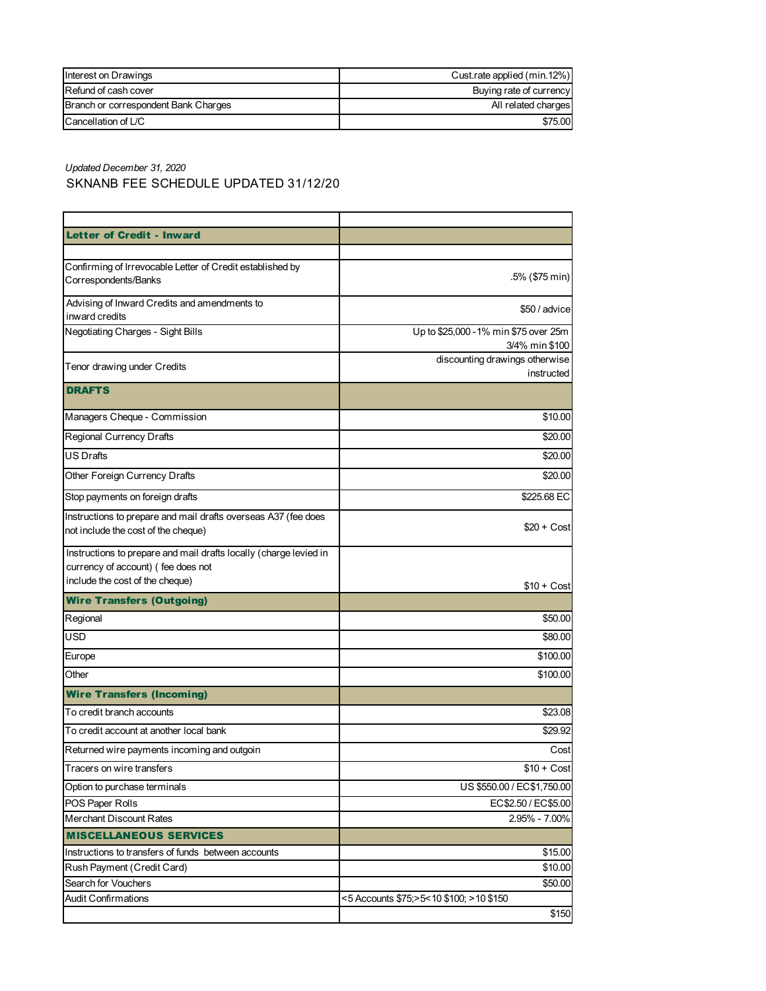| Interest on Drawings                 | Cust.rate applied (min.12%) |
|--------------------------------------|-----------------------------|
| Refund of cash cover                 | Buying rate of currency     |
| Branch or correspondent Bank Charges | All related charges         |
| $C$ ancellation of $L/C$             | \$75.00                     |

*Updated December 31, 2020* SKNANB FEE SCHEDULE UPDATED 31/12/20

| <b>Letter of Credit - Inward</b>                                                                                                           |                                                         |
|--------------------------------------------------------------------------------------------------------------------------------------------|---------------------------------------------------------|
|                                                                                                                                            |                                                         |
| Confirming of Irrevocable Letter of Credit established by<br>Correspondents/Banks                                                          | .5% (\$75 min)                                          |
| Advising of Inward Credits and amendments to<br>inward credits                                                                             | \$50 / advice                                           |
| Negotiating Charges - Sight Bills                                                                                                          | Up to \$25,000 - 1% min \$75 over 25m<br>3/4% min \$100 |
| Tenor drawing under Credits                                                                                                                | discounting drawings otherwise<br>instructed            |
| <b>DRAFTS</b>                                                                                                                              |                                                         |
| Managers Cheque - Commission                                                                                                               | \$10.00                                                 |
| Regional Currency Drafts                                                                                                                   | \$20.00                                                 |
| <b>US Drafts</b>                                                                                                                           | \$20.00                                                 |
| Other Foreign Currency Drafts                                                                                                              | \$20.00                                                 |
| Stop payments on foreign drafts                                                                                                            | \$225.68 EC                                             |
| Instructions to prepare and mail drafts overseas A37 (fee does<br>not include the cost of the cheque)                                      | $$20 + Cost$                                            |
| Instructions to prepare and mail drafts locally (charge levied in<br>currency of account) (fee does not<br>include the cost of the cheque) |                                                         |
| <b>Wire Transfers (Outgoing)</b>                                                                                                           | $$10 + Cost$                                            |
| Regional                                                                                                                                   | \$50.00                                                 |
| <b>USD</b>                                                                                                                                 | \$80.00                                                 |
| Europe                                                                                                                                     | \$100.00                                                |
| Other                                                                                                                                      | \$100.00                                                |
| <b>Wire Transfers (Incoming)</b>                                                                                                           |                                                         |
| To credit branch accounts                                                                                                                  | \$23.08                                                 |
| To credit account at another local bank                                                                                                    | \$29.92                                                 |
| Returned wire payments incoming and outgoin                                                                                                | Cost                                                    |
| Tracers on wire transfers                                                                                                                  | $$10 + Cost$                                            |
| Option to purchase terminals                                                                                                               | US \$550.00 / EC\$1,750.00                              |
| POS Paper Rolls                                                                                                                            | EC\$2.50 / EC\$5.00                                     |
| <b>Merchant Discount Rates</b>                                                                                                             | 2.95% - 7.00%                                           |
| <b>MISCELLANEOUS SERVICES</b>                                                                                                              |                                                         |
| Instructions to transfers of funds between accounts                                                                                        | \$15.00                                                 |
| Rush Payment (Credit Card)                                                                                                                 | \$10.00                                                 |
| Search for Vouchers                                                                                                                        | \$50.00                                                 |
| <b>Audit Confirmations</b>                                                                                                                 | <5 Accounts \$75;>5<10 \$100; >10 \$150                 |
|                                                                                                                                            | \$150                                                   |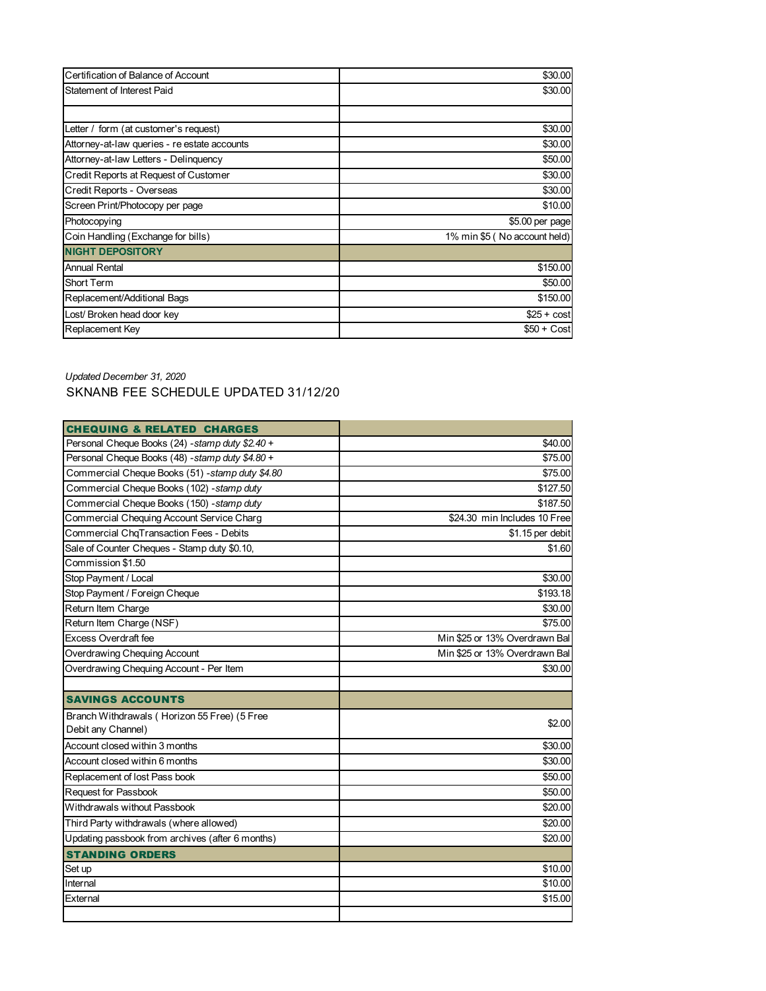| Certification of Balance of Account          | \$30.00                      |
|----------------------------------------------|------------------------------|
| Statement of Interest Paid                   | \$30.00                      |
|                                              |                              |
| Letter / form (at customer's request)        | \$30.00                      |
| Attorney-at-law queries - re estate accounts | \$30.00                      |
| Attorney-at-law Letters - Delinquency        | \$50.00                      |
| Credit Reports at Request of Customer        | \$30.00                      |
| Credit Reports - Overseas                    | \$30.00                      |
| Screen Print/Photocopy per page              | \$10.00                      |
| Photocopying                                 | \$5.00 per page              |
| Coin Handling (Exchange for bills)           | 1% min \$5 (No account held) |
| <b>NIGHT DEPOSITORY</b>                      |                              |
| <b>Annual Rental</b>                         | \$150.00                     |
| Short Term                                   | \$50.00                      |
| Replacement/Additional Bags                  | \$150.00                     |
| Lost/ Broken head door key                   | $$25 + cost$                 |
| Replacement Key                              | $$50 + Cost$                 |

## *Updated December 31, 2020* SKNANB FEE SCHEDULE UPDATED 31/12/20

| <b>CHEQUING &amp; RELATED CHARGES</b>            |                               |
|--------------------------------------------------|-------------------------------|
| Personal Cheque Books (24) - stamp duty \$2.40 + | \$40.00                       |
| Personal Cheque Books (48) -stamp duty \$4.80 +  | \$75.00                       |
| Commercial Cheque Books (51) - stamp duty \$4.80 | \$75.00                       |
| Commercial Cheque Books (102) - stamp duty       | \$127.50                      |
| Commercial Cheque Books (150) -stamp duty        | \$187.50                      |
| Commercial Chequing Account Service Charg        | \$24.30 min Includes 10 Free  |
| Commercial ChqTransaction Fees - Debits          | \$1.15 per debit              |
| Sale of Counter Cheques - Stamp duty \$0.10,     | \$1.60                        |
| Commission \$1.50                                |                               |
| Stop Payment / Local                             | \$30.00                       |
| Stop Payment / Foreign Cheque                    | \$193.18                      |
| Return Item Charge                               | \$30.00                       |
| Return Item Charge (NSF)                         | \$75.00                       |
| Excess Overdraft fee                             | Min \$25 or 13% Overdrawn Bal |
| Overdrawing Chequing Account                     | Min \$25 or 13% Overdrawn Bal |
| Overdrawing Chequing Account - Per Item          | \$30.00                       |
|                                                  |                               |
| <b>SAVINGS ACCOUNTS</b>                          |                               |
| Branch Withdrawals (Horizon 55 Free) (5 Free     |                               |
| Debit any Channel)                               | \$2.00                        |
| Account closed within 3 months                   | \$30.00                       |
| Account closed within 6 months                   | \$30.00                       |
| Replacement of lost Pass book                    | \$50.00                       |
| <b>Request for Passbook</b>                      | \$50.00                       |
| Withdrawals without Passbook                     | \$20.00                       |
| Third Party withdrawals (where allowed)          | \$20.00                       |
| Updating passbook from archives (after 6 months) | \$20.00                       |
| <b>STANDING ORDERS</b>                           |                               |
| Set up                                           | \$10.00                       |
| Internal                                         | \$10.00                       |
| External                                         | \$15.00                       |
|                                                  |                               |